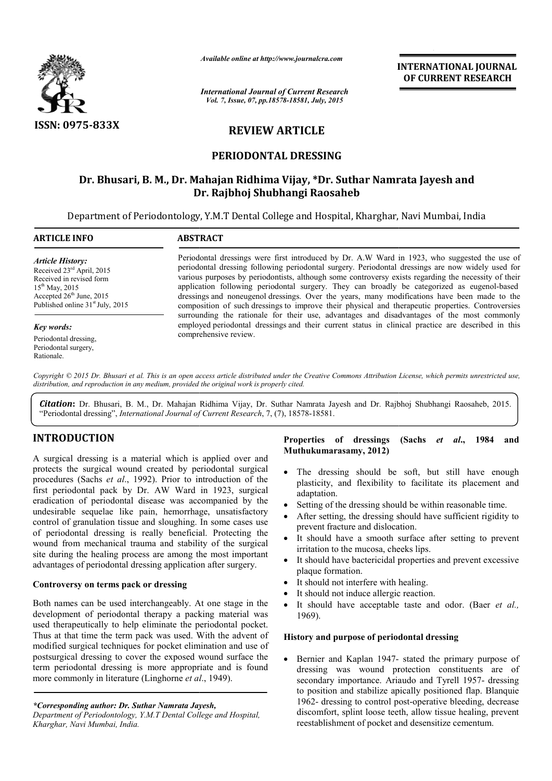

*Available online at http://www.journalcra.com*

*International Journal of Current Research Vol. 7, Issue, 07, pp.18578-18581, July, 2015*

**INTERNATIONAL INTERNATIONAL JOURNAL OF CURRENT RESEARCH** 

# **REVIEW ARTICLE**

### **PERIODONTAL DRESSING**

# **Dr. Bhusari, B. M., Dr. Mahajan Ridhima Vijay, \*Dr. Suthar Namrata Jayesh and Dr. Namrata Jayesh and Dr. Rajbhoj Shubhangi Raosaheb**

Department of Periodontology, Y.M.T Dental College and Hospital, Kharghar, Navi Mumbai, India

| <b>ARTICLE INFO</b>                                                                                                                                                                               | <b>ABSTRACT</b>                                                                                                                                                                                                                                                                                                                                                                                                                                                                                                                                                                                                                                                                                                                                                                                                                             |
|---------------------------------------------------------------------------------------------------------------------------------------------------------------------------------------------------|---------------------------------------------------------------------------------------------------------------------------------------------------------------------------------------------------------------------------------------------------------------------------------------------------------------------------------------------------------------------------------------------------------------------------------------------------------------------------------------------------------------------------------------------------------------------------------------------------------------------------------------------------------------------------------------------------------------------------------------------------------------------------------------------------------------------------------------------|
| <b>Article History:</b><br>Received 23 <sup>rd</sup> April, 2015<br>Received in revised form<br>$15^{th}$ May, 2015<br>Accepted $26th$ June, 2015<br>Published online 31 <sup>st</sup> July, 2015 | Periodontal dressings were first introduced by Dr. A.W Ward in 1923, who suggested the use of<br>periodontal dressing following periodontal surgery. Periodontal dressings are now widely used for<br>various purposes by periodontists, although some controversy exists regarding the necessity of their<br>application following periodontal surgery. They can broadly be categorized as eugenol-based<br>dressings and noneugenol dressings. Over the years, many modifications have been made to the<br>composition of such dressings to improve their physical and therapeutic properties. Controversies<br>surrounding the rationale for their use, advantages and disadvantages of the most commonly<br>employed periodontal dressings and their current status in clinical practice are described in this<br>comprehensive review. |
| Key words:                                                                                                                                                                                        |                                                                                                                                                                                                                                                                                                                                                                                                                                                                                                                                                                                                                                                                                                                                                                                                                                             |
| Periodontal dressing,<br>Periodontal surgery,<br>Rationale.                                                                                                                                       |                                                                                                                                                                                                                                                                                                                                                                                                                                                                                                                                                                                                                                                                                                                                                                                                                                             |

Copyright © 2015 Dr. Bhusari et al. This is an open access article distributed under the Creative Commons Attribution License, which permits unrestricted use, *distribution, and reproduction in any medium, provided the original work is properly cited.*

Citation: Dr. Bhusari, B. M., Dr. Mahajan Ridhima Vijay, Dr. Suthar Namrata Jayesh and Dr. Rajbhoj Shubhangi Raosaheb, 2015. "Periodontal dressing", *International Journal of Current Research*, 7, (7), 18578-18581.

## **INTRODUCTION**

A surgical dressing is a material which is applied over and protects the surgical wound created by periodontal surgical procedures (Sachs *et al*., 1992). Prior to introduction of the first periodontal pack by Dr. AW Ward in 1923, surgical eradication of periodontal disease was accompanied by the undesirable sequelae like pain, hemorrhage, unsatisfactory control of granulation tissue and sloughing. In some cases use of periodontal dressing is really beneficial. Protecting the wound from mechanical trauma and stability of the surgical site during the healing process are among the most important advantages of periodontal dressing application after surgery. reated by periodontal surgical<br>
2). Prior to introduction of the<br>
AW Ward in 1923, surgical<br>
ease was accompanied by the<br>
n, hemorrhage, unsatisfactory<br>
d sloughing. In some cases use<br>
ally beneficial. Protecting the<br>
na a

#### **Controversy on terms pack or dressing**

Both names can be used interchangeably. At one stage in the development of periodontal therapy a packing material was used therapeutically to help eliminate the periodontal pocket. Thus at that time the term pack was used. With the advent of modified surgical techniques for pocket elimination and use of postsurgical dressing to cover the exposed wound surface the term periodontal dressing is more appropriate and is foun more commonly in literature (Linghorne *et al* ., 1949).

*\*Corresponding author: Dr. Suthar Namrata Jayesh,*

#### **Properties of dressings Muthukumarasamy, 2012) (Sachs** *et al***., 1984 and**

- The dressing should be soft, but still have enough plasticity, and flexibility to facilitate its placement and adaptation. dressing should be soft, but still have enough<br>city, and flexibility to facilitate its placement and<br>ation.<br>g of the dressing should be within reasonable time.<br>setting, the dressing should have sufficient rigidity to<br>nt fr
- Setting of the dressing should be within reasonable time.
- After setting, the dressing should have sufficient rigidity to prevent fracture and dislocation.
- It should have a smooth surface after setting to prevent irritation to the mucosa, cheeks lips.
- It should have bactericidal properties and prevent excessive plaque formation.
- It should not interfere with healing.
- It should not induce allergic reaction.
- $\bullet$  It should have acceptable taste and odor. (Baer et al., 1969).

#### **History and purpose of periodontal dressing and purpose**

• Bernier and Kaplan 1947- stated the primary purpose of dressing was wound protection constituents are of dressing was wound protection constituents are of secondary importance. Ariaudo and Tyrell 1957- dressing to position and stabilize apically positioned flap. Blanquie 1962- dressing to control post-operative bleeding, decrease discomfort, splint loose teeth, allow tissue healing, prevent reestablishment of pocket and desensitize cementum.

*Department of Periodontology, Y.M.T Dental College and Hospital, Kharghar, Navi Mumbai, India.*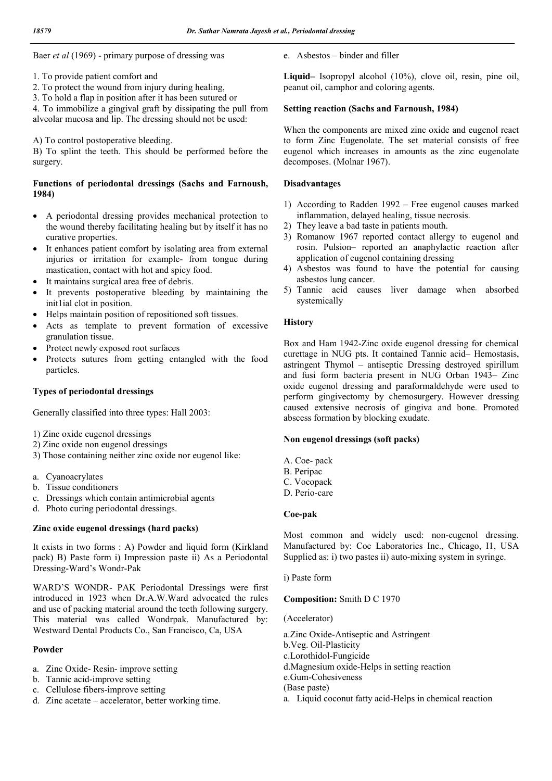Baer *et al* (1969) - primary purpose of dressing was

- 1. To provide patient comfort and
- 2. To protect the wound from injury during healing,
- 3. To hold a flap in position after it has been sutured or

4. To immobilize a gingival graft by dissipating the pull from alveolar mucosa and lip. The dressing should not be used:

A) To control postoperative bleeding.

B) To splint the teeth. This should be performed before the surgery.

### **Functions of periodontal dressings (Sachs and Farnoush, 1984)**

- A periodontal dressing provides mechanical protection to the wound thereby facilitating healing but by itself it has no curative properties.
- It enhances patient comfort by isolating area from external injuries or irritation for example- from tongue during mastication, contact with hot and spicy food.
- It maintains surgical area free of debris.
- It prevents postoperative bleeding by maintaining the init1ial clot in position.
- Helps maintain position of repositioned soft tissues.
- Acts as template to prevent formation of excessive granulation tissue.
- Protect newly exposed root surfaces
- Protects sutures from getting entangled with the food particles.

### **Types of periodontal dressings**

Generally classified into three types: Hall 2003:

- 1) Zinc oxide eugenol dressings
- 2) Zinc oxide non eugenol dressings
- 3) Those containing neither zinc oxide nor eugenol like:
- a. Cyanoacrylates
- b. Tissue conditioners
- c. Dressings which contain antimicrobial agents
- d. Photo curing periodontal dressings.

### **Zinc oxide eugenol dressings (hard packs)**

It exists in two forms : A) Powder and liquid form (Kirkland pack) B) Paste form i) Impression paste ii) As a Periodontal Dressing-Ward's Wondr-Pak

WARD'S WONDR- PAK Periodontal Dressings were first introduced in 1923 when Dr.A.W.Ward advocated the rules and use of packing material around the teeth following surgery. This material was called Wondrpak. Manufactured by: Westward Dental Products Co., San Francisco, Ca, USA

### **Powder**

- a. Zinc Oxide- Resin- improve setting
- b. Tannic acid-improve setting
- c. Cellulose fibers-improve setting
- d. Zinc acetate accelerator, better working time.

e. Asbestos – binder and filler

**Liquid–** Isopropyl alcohol (10%), clove oil, resin, pine oil, peanut oil, camphor and coloring agents.

### **Setting reaction (Sachs and Farnoush, 1984)**

When the components are mixed zinc oxide and eugenol react to form Zinc Eugenolate. The set material consists of free eugenol which increases in amounts as the zinc eugenolate decomposes. (Molnar 1967).

### **Disadvantages**

- 1) According to Radden 1992 Free eugenol causes marked inflammation, delayed healing, tissue necrosis.
- 2) They leave a bad taste in patients mouth.
- 3) Romanow 1967 reported contact allergy to eugenol and rosin. Pulsion– reported an anaphylactic reaction after application of eugenol containing dressing
- 4) Asbestos was found to have the potential for causing asbestos lung cancer.
- 5) Tannic acid causes liver damage when absorbed systemically

### **History**

Box and Ham 1942-Zinc oxide eugenol dressing for chemical curettage in NUG pts. It contained Tannic acid– Hemostasis, astringent Thymol – antiseptic Dressing destroyed spirillum and fusi form bacteria present in NUG Orban 1943– Zinc oxide eugenol dressing and paraformaldehyde were used to perform gingivectomy by chemosurgery. However dressing caused extensive necrosis of gingiva and bone. Promoted abscess formation by blocking exudate.

#### **Non eugenol dressings (soft packs)**

- A. Coe- pack
- B. Peripac
- C. Vocopack
- D. Perio-care

#### **Coe-pak**

Most common and widely used: non-eugenol dressing. Manufactured by: Coe Laboratories Inc., Chicago, I1, USA Supplied as: i) two pastes ii) auto-mixing system in syringe.

i) Paste form

**Composition:** Smith D C 1970

#### (Accelerator)

- a.Zinc Oxide-Antiseptic and Astringent
- b.Veg. Oil-Plasticity
- c.Lorothidol-Fungicide
- d.Magnesium oxide-Helps in setting reaction
- e.Gum-Cohesiveness (Base paste)
	-
- a. Liquid coconut fatty acid-Helps in chemical reaction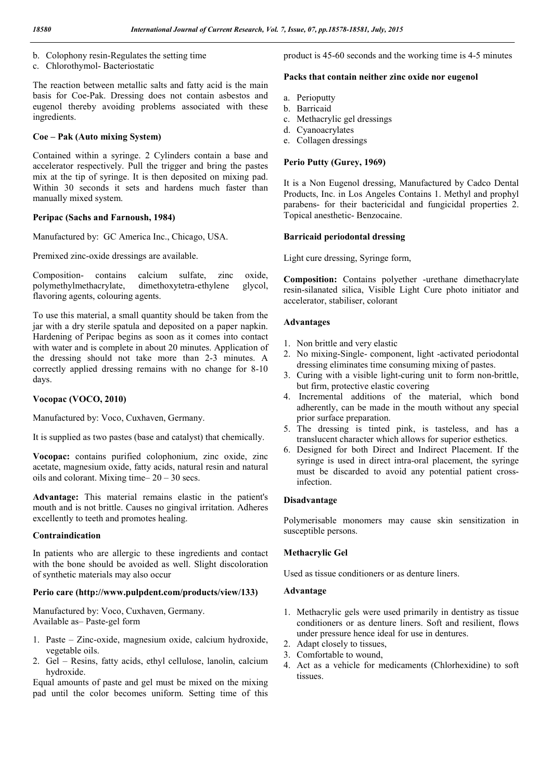- b. Colophony resin-Regulates the setting time
- c. Chlorothymol- Bacteriostatic

The reaction between metallic salts and fatty acid is the main basis for Coe-Pak. Dressing does not contain asbestos and eugenol thereby avoiding problems associated with these ingredients.

#### **Coe – Pak (Auto mixing System)**

Contained within a syringe. 2 Cylinders contain a base and accelerator respectively. Pull the trigger and bring the pastes mix at the tip of syringe. It is then deposited on mixing pad. Within 30 seconds it sets and hardens much faster than manually mixed system.

#### **Peripac (Sachs and Farnoush, 1984)**

Manufactured by: GC America Inc., Chicago, USA.

Premixed zinc-oxide dressings are available.

Composition- contains calcium sulfate, zinc oxide, polymethylmethacrylate, dimethoxytetra-ethylene glycol, flavoring agents, colouring agents.

To use this material, a small quantity should be taken from the jar with a dry sterile spatula and deposited on a paper napkin. Hardening of Peripac begins as soon as it comes into contact with water and is complete in about 20 minutes. Application of the dressing should not take more than 2-3 minutes. A correctly applied dressing remains with no change for 8-10 days.

#### **Vocopac (VOCO, 2010)**

Manufactured by: Voco, Cuxhaven, Germany.

It is supplied as two pastes (base and catalyst) that chemically.

**Vocopac:** contains purified colophonium, zinc oxide, zinc acetate, magnesium oxide, fatty acids, natural resin and natural oils and colorant. Mixing time–  $20 - 30$  secs.

**Advantage:** This material remains elastic in the patient's mouth and is not brittle. Causes no gingival irritation. Adheres excellently to teeth and promotes healing.

#### **Contraindication**

In patients who are allergic to these ingredients and contact with the bone should be avoided as well. Slight discoloration of synthetic materials may also occur

#### **Perio care (http://www.pulpdent.com/products/view/133)**

Manufactured by: Voco, Cuxhaven, Germany. Available as– Paste-gel form

- 1. Paste Zinc-oxide, magnesium oxide, calcium hydroxide, vegetable oils.
- 2. Gel Resins, fatty acids, ethyl cellulose, lanolin, calcium hydroxide.

Equal amounts of paste and gel must be mixed on the mixing pad until the color becomes uniform. Setting time of this product is 45-60 seconds and the working time is 4-5 minutes

#### **Packs that contain neither zinc oxide nor eugenol**

- a. Perioputty
- b. Barricaid
- c. Methacrylic gel dressings
- d. Cyanoacrylates
- e. Collagen dressings

#### **Perio Putty (Gurey, 1969)**

It is a Non Eugenol dressing, Manufactured by Cadco Dental Products, Inc. in Los Angeles Contains 1. Methyl and prophyl parabens- for their bactericidal and fungicidal properties 2. Topical anesthetic- Benzocaine.

#### **Barricaid periodontal dressing**

Light cure dressing, Syringe form,

**Composition:** Contains polyether -urethane dimethacrylate resin-silanated silica, Visible Light Cure photo initiator and accelerator, stabiliser, colorant

#### **Advantages**

- 1. Non brittle and very elastic
- 2. No mixing-Single- component, light -activated periodontal dressing eliminates time consuming mixing of pastes.
- 3. Curing with a visible light-curing unit to form non-brittle, but firm, protective elastic covering
- 4. Incremental additions of the material, which bond adherently, can be made in the mouth without any special prior surface preparation.
- 5. The dressing is tinted pink, is tasteless, and has a translucent character which allows for superior esthetics.
- 6. Designed for both Direct and Indirect Placement. If the syringe is used in direct intra-oral placement, the syringe must be discarded to avoid any potential patient crossinfection.

#### **Disadvantage**

Polymerisable monomers may cause skin sensitization in susceptible persons.

### **Methacrylic Gel**

Used as tissue conditioners or as denture liners.

#### **Advantage**

- 1. Methacrylic gels were used primarily in dentistry as tissue conditioners or as denture liners. Soft and resilient, flows under pressure hence ideal for use in dentures.
- 2. Adapt closely to tissues,
- 3. Comfortable to wound,
- 4. Act as a vehicle for medicaments (Chlorhexidine) to soft tissues.